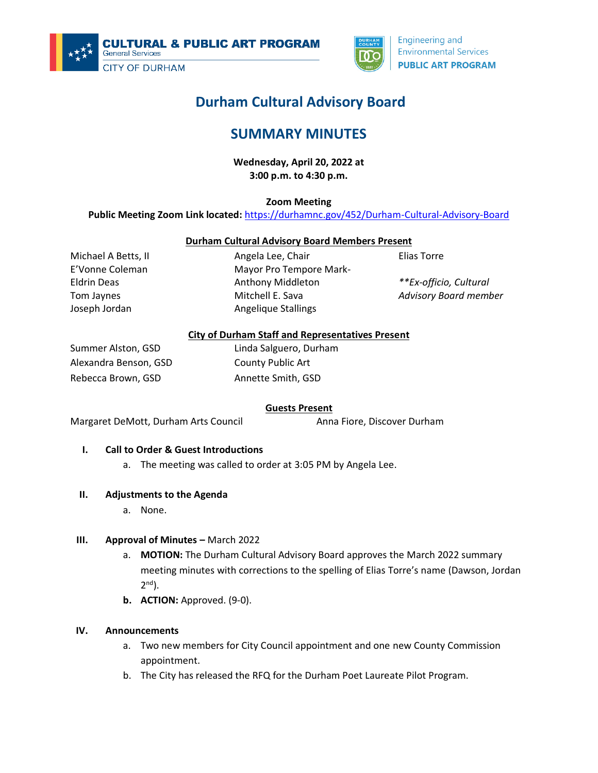



#### **Engineering and Environmental Services PUBLIC ART PROGRAM**

# **Durham Cultural Advisory Board**

# **SUMMARY MINUTES**

**Wednesday, April 20, 2022 at 3:00 p.m. to 4:30 p.m.**

**Zoom Meeting**

**Public Meeting Zoom Link located:** <https://durhamnc.gov/452/Durham-Cultural-Advisory-Board>

## **Durham Cultural Advisory Board Members Present**

Michael A Betts, II E'Vonne Coleman Eldrin Deas Tom Jaynes Joseph Jordan

Angela Lee, Chair Mayor Pro Tempore Mark-Anthony Middleton Mitchell E. Sava Angelique Stallings

Elias Torre

*\*\*Ex-officio, Cultural Advisory Board member*

## **City of Durham Staff and Representatives Present**

Summer Alston, GSD Alexandra Benson, GSD Rebecca Brown, GSD

Linda Salguero, Durham County Public Art Annette Smith, GSD

# **Guests Present**

Margaret DeMott, Durham Arts Council **Anna Fiore, Discover Durham** 

# **I. Call to Order & Guest Introductions**

a. The meeting was called to order at 3:05 PM by Angela Lee.

#### **II. Adjustments to the Agenda**

a. None.

# **III. Approval of Minutes –** March 2022

- a. **MOTION:** The Durham Cultural Advisory Board approves the March 2022 summary meeting minutes with corrections to the spelling of Elias Torre's name (Dawson, Jordan 2<sup>nd</sup>).
- **b. ACTION:** Approved. (9-0).

#### **IV. Announcements**

- a. Two new members for City Council appointment and one new County Commission appointment.
- b. The City has released the RFQ for the Durham Poet Laureate Pilot Program.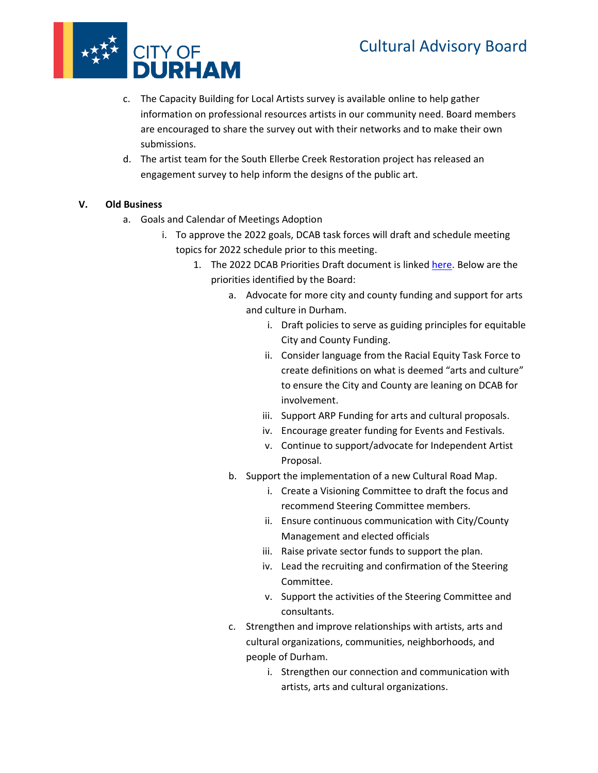# Cultural Advisory Board



- c. The Capacity Building for Local Artists survey is available online to help gather information on professional resources artists in our community need. Board members are encouraged to share the survey out with their networks and to make their own submissions.
- d. The artist team for the South Ellerbe Creek Restoration project has released an engagement survey to help inform the designs of the public art.

# **V. Old Business**

- a. Goals and Calendar of Meetings Adoption
	- i. To approve the 2022 goals, DCAB task forces will draft and schedule meeting topics for 2022 schedule prior to this meeting.
		- 1. The 2022 DCAB Priorities Draft document is linked [here.](https://docs.google.com/document/d/1e-MOH-cLzXzJRlLg9X1DxUokfFq4LM2W/edit?usp=sharing&ouid=113751393952664385955&rtpof=true&sd=true) Below are the priorities identified by the Board:
			- a. Advocate for more city and county funding and support for arts and culture in Durham.
				- i. Draft policies to serve as guiding principles for equitable City and County Funding.
				- ii. Consider language from the Racial Equity Task Force to create definitions on what is deemed "arts and culture" to ensure the City and County are leaning on DCAB for involvement.
				- iii. Support ARP Funding for arts and cultural proposals.
				- iv. Encourage greater funding for Events and Festivals.
				- v. Continue to support/advocate for Independent Artist Proposal.
			- b. Support the implementation of a new Cultural Road Map.
				- i. Create a Visioning Committee to draft the focus and recommend Steering Committee members.
				- ii. Ensure continuous communication with City/County Management and elected officials
				- iii. Raise private sector funds to support the plan.
				- iv. Lead the recruiting and confirmation of the Steering Committee.
				- v. Support the activities of the Steering Committee and consultants.
			- c. Strengthen and improve relationships with artists, arts and cultural organizations, communities, neighborhoods, and people of Durham.
				- i. Strengthen our connection and communication with artists, arts and cultural organizations.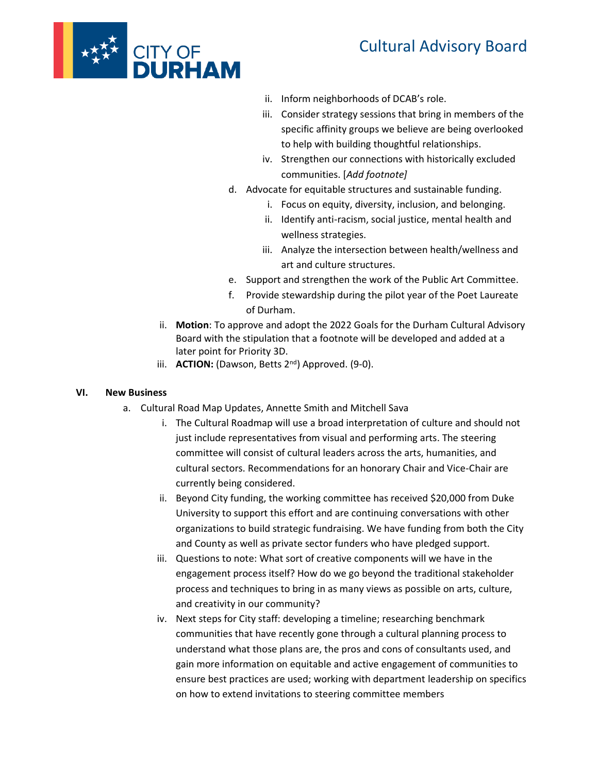



- ii. Inform neighborhoods of DCAB's role.
- iii. Consider strategy sessions that bring in members of the specific affinity groups we believe are being overlooked to help with building thoughtful relationships.
- iv. Strengthen our connections with historically excluded communities. [*Add footnote]*
- d. Advocate for equitable structures and sustainable funding.
	- i. Focus on equity, diversity, inclusion, and belonging.
	- ii. Identify anti-racism, social justice, mental health and wellness strategies.
	- iii. Analyze the intersection between health/wellness and art and culture structures.
- e. Support and strengthen the work of the Public Art Committee.
- f. Provide stewardship during the pilot year of the Poet Laureate of Durham.
- ii. **Motion**: To approve and adopt the 2022 Goals for the Durham Cultural Advisory Board with the stipulation that a footnote will be developed and added at a later point for Priority 3D.
- iii. **ACTION:** (Dawson, Betts 2<sup>nd</sup>) Approved. (9-0).

#### **VI. New Business**

- a. Cultural Road Map Updates, Annette Smith and Mitchell Sava
	- i. The Cultural Roadmap will use a broad interpretation of culture and should not just include representatives from visual and performing arts. The steering committee will consist of cultural leaders across the arts, humanities, and cultural sectors. Recommendations for an honorary Chair and Vice-Chair are currently being considered.
	- ii. Beyond City funding, the working committee has received \$20,000 from Duke University to support this effort and are continuing conversations with other organizations to build strategic fundraising. We have funding from both the City and County as well as private sector funders who have pledged support.
	- iii. Questions to note: What sort of creative components will we have in the engagement process itself? How do we go beyond the traditional stakeholder process and techniques to bring in as many views as possible on arts, culture, and creativity in our community?
	- iv. Next steps for City staff: developing a timeline; researching benchmark communities that have recently gone through a cultural planning process to understand what those plans are, the pros and cons of consultants used, and gain more information on equitable and active engagement of communities to ensure best practices are used; working with department leadership on specifics on how to extend invitations to steering committee members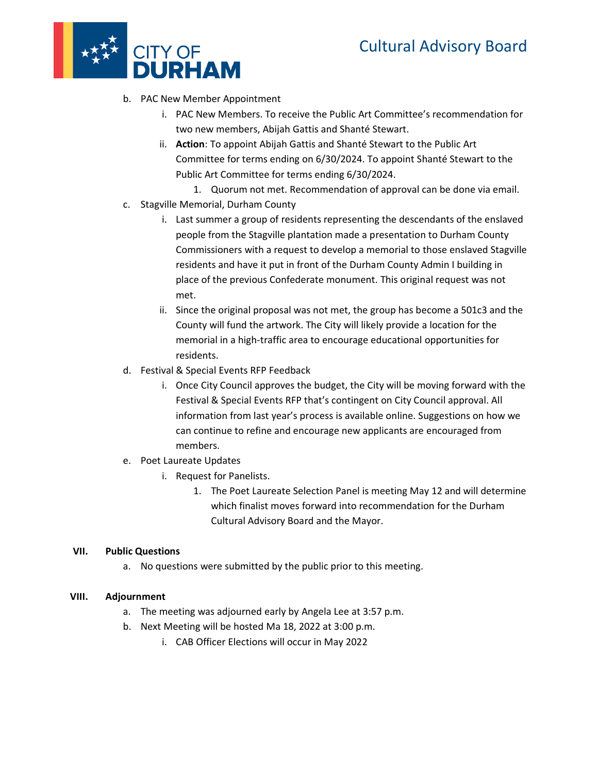

- b. PAC New Member Appointment
	- i. PAC New Members. To receive the Public Art Committee's recommendation for two new members, Abijah Gattis and Shanté Stewart.
	- ii. **Action**: To appoint Abijah Gattis and Shanté Stewart to the Public Art Committee for terms ending on 6/30/2024. To appoint Shanté Stewart to the Public Art Committee for terms ending 6/30/2024.
	- 1. Quorum not met. Recommendation of approval can be done via email.
- c. Stagville Memorial, Durham County
	- i. Last summer a group of residents representing the descendants of the enslaved people from the Stagville plantation made a presentation to Durham County Commissioners with a request to develop a memorial to those enslaved Stagville residents and have it put in front of the Durham County Admin I building in place of the previous Confederate monument. This original request was not met.
	- ii. Since the original proposal was not met, the group has become a 501c3 and the County will fund the artwork. The City will likely provide a location for the memorial in a high-traffic area to encourage educational opportunities for residents.
- d. Festival & Special Events RFP Feedback
	- i. Once City Council approves the budget, the City will be moving forward with the Festival & Special Events RFP that's contingent on City Council approval. All information from last year's process is available online. Suggestions on how we can continue to refine and encourage new applicants are encouraged from members.
- e. Poet Laureate Updates
	- i. Request for Panelists.
		- 1. The Poet Laureate Selection Panel is meeting May 12 and will determine which finalist moves forward into recommendation for the Durham Cultural Advisory Board and the Mayor.

#### **VII. Public Questions**

a. No questions were submitted by the public prior to this meeting.

#### **VIII. Adjournment**

- a. The meeting was adjourned early by Angela Lee at 3:57 p.m.
- b. Next Meeting will be hosted Ma 18, 2022 at 3:00 p.m.
	- i. CAB Officer Elections will occur in May 2022